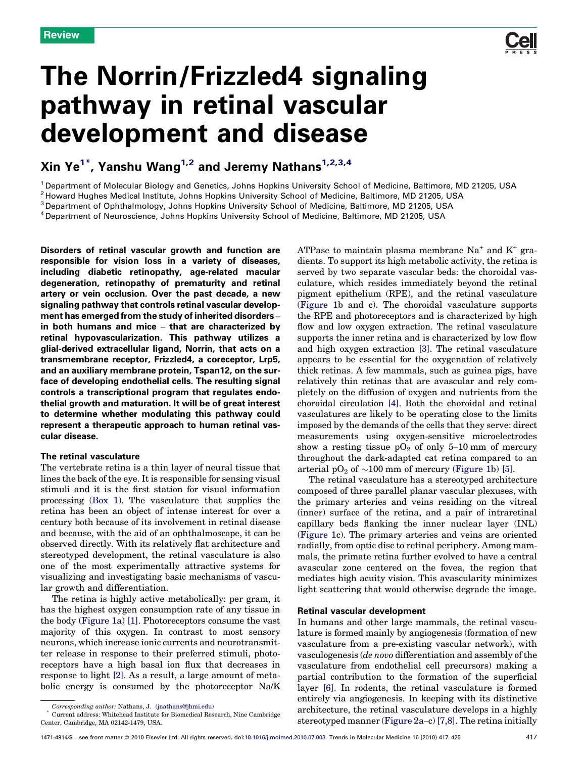

# The Norrin/Frizzled4 signaling pathway in retinal vascular development and disease

## Xin Ye<sup>1\*</sup>, Yanshu Wang<sup>1,2</sup> and Jeremy Nathans<sup>1,2,3,4</sup>

<sup>1</sup> Department of Molecular Biology and Genetics, Johns Hopkins University School of Medicine, Baltimore, MD 21205, USA

<sup>2</sup> Howard Hughes Medical Institute, Johns Hopkins University School of Medicine, Baltimore, MD 21205, USA

<sup>3</sup> Department of Ophthalmology, Johns Hopkins University School of Medicine, Baltimore, MD 21205, USA

<sup>4</sup> Department of Neuroscience, Johns Hopkins University School of Medicine, Baltimore, MD 21205, USA

Disorders of retinal vascular growth and function are responsible for vision loss in a variety of diseases, including diabetic retinopathy, age-related macular degeneration, retinopathy of prematurity and retinal artery or vein occlusion. Over the past decade, a new signaling pathway that controls retinal vascular development has emerged from the study of inherited disorders – in both humans and mice – that are characterized by retinal hypovascularization. This pathway utilizes a glial-derived extracellular ligand, Norrin, that acts on a transmembrane receptor, Frizzled4, a coreceptor, Lrp5, and an auxiliary membrane protein, Tspan12, on the surface of developing endothelial cells. The resulting signal controls a transcriptional program that regulates endothelial growth and maturation. It will be of great interest to determine whether modulating this pathway could represent a therapeutic approach to human retinal vascular disease.

#### The retinal vasculature

The vertebrate retina is a thin layer of neural tissue that lines the back of the eye. It is responsible for sensing visual stimuli and it is the first station for visual information processing ([Box 1](#page-1-0)). The vasculature that supplies the retina has been an object of intense interest for over a century both because of its involvement in retinal disease and because, with the aid of an ophthalmoscope, it can be observed directly. With its relatively flat architecture and stereotyped development, the retinal vasculature is also one of the most experimentally attractive systems for visualizing and investigating basic mechanisms of vascular growth and differentiation.

The retina is highly active metabolically: per gram, it has the highest oxygen consumption rate of any tissue in the body ([Figure 1](#page-2-0)a) [\[1\].](#page-7-0) Photoreceptors consume the vast majority of this oxygen. In contrast to most sensory neurons, which increase ionic currents and neurotransmitter release in response to their preferred stimuli, photoreceptors have a high basal ion flux that decreases in response to light [\[2\]](#page-7-0). As a result, a large amount of metabolic energy is consumed by the photoreceptor Na/K

ATPase to maintain plasma membrane  $Na<sup>+</sup>$  and  $K<sup>+</sup>$  gradients. To support its high metabolic activity, the retina is served by two separate vascular beds: the choroidal vasculature, which resides immediately beyond the retinal pigment epithelium (RPE), and the retinal vasculature ([Figure 1b](#page-2-0) and c). The choroidal vasculature supports the RPE and photoreceptors and is characterized by high flow and low oxygen extraction. The retinal vasculature supports the inner retina and is characterized by low flow and high oxygen extraction [\[3\]](#page-7-0). The retinal vasculature appears to be essential for the oxygenation of relatively thick retinas. A few mammals, such as guinea pigs, have relatively thin retinas that are avascular and rely completely on the diffusion of oxygen and nutrients from the choroidal circulation [\[4\].](#page-7-0) Both the choroidal and retinal vasculatures are likely to be operating close to the limits imposed by the demands of the cells that they serve: direct measurements using oxygen-sensitive microelectrodes show a resting tissue  $pO_2$  of only 5–10 mm of mercury throughout the dark-adapted cat retina compared to an arterial  $pO_2$  of  $\sim$ 100 mm of mercury [\(Figure 1](#page-2-0)b) [\[5\]](#page-7-0).

The retinal vasculature has a stereotyped architecture composed of three parallel planar vascular plexuses, with the primary arteries and veins residing on the vitreal (inner) surface of the retina, and a pair of intraretinal capillary beds flanking the inner nuclear layer (INL) ([Figure 1](#page-2-0)c). The primary arteries and veins are oriented radially, from optic disc to retinal periphery. Among mammals, the primate retina further evolved to have a central avascular zone centered on the fovea, the region that mediates high acuity vision. This avascularity minimizes light scattering that would otherwise degrade the image.

#### Retinal vascular development

In humans and other large mammals, the retinal vasculature is formed mainly by angiogenesis (formation of new vasculature from a pre-existing vascular network), with vasculogenesis (de novo differentiation and assembly of the vasculature from endothelial cell precursors) making a partial contribution to the formation of the superficial layer [\[6\].](#page-7-0) In rodents, the retinal vasculature is formed entirely via angiogenesis. In keeping with its distinctive architecture, the retinal vasculature develops in a highly stereotyped manner ([Figure 2a](#page-3-0)–c) [\[7,8\].](#page-7-0) The retina initially

Corresponding author: Nathans, J. ([jnathans@jhmi.edu\)](mailto:jnathans@jhmi.edu)

<sup>\*</sup> Current address: Whitehead Institute for Biomedical Research, Nine Cambridge Center, Cambridge, MA 02142-1479, USA.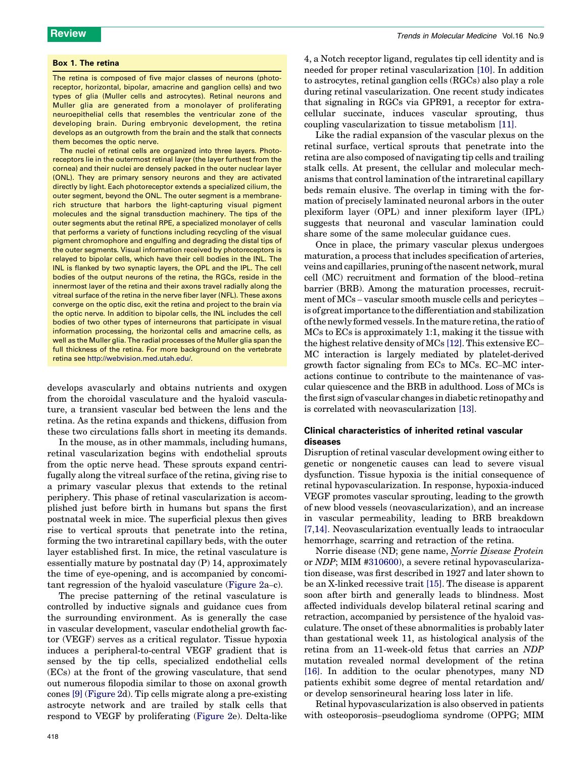#### <span id="page-1-0"></span>Box 1. The retina

The retina is composed of five major classes of neurons (photoreceptor, horizontal, bipolar, amacrine and ganglion cells) and two types of glia (Muller cells and astrocytes). Retinal neurons and Muller glia are generated from a monolayer of proliferating neuroepithelial cells that resembles the ventricular zone of the developing brain. During embryonic development, the retina develops as an outgrowth from the brain and the stalk that connects them becomes the optic nerve.

The nuclei of retinal cells are organized into three layers. Photoreceptors lie in the outermost retinal layer (the layer furthest from the cornea) and their nuclei are densely packed in the outer nuclear layer (ONL). They are primary sensory neurons and they are activated directly by light. Each photoreceptor extends a specialized cilium, the outer segment, beyond the ONL. The outer segment is a membranerich structure that harbors the light-capturing visual pigment molecules and the signal transduction machinery. The tips of the outer segments abut the retinal RPE, a specialized monolayer of cells that performs a variety of functions including recycling of the visual pigment chromophore and engulfing and degrading the distal tips of the outer segments. Visual information received by photoreceptors is relayed to bipolar cells, which have their cell bodies in the INL. The INL is flanked by two synaptic layers, the OPL and the IPL. The cell bodies of the output neurons of the retina, the RGCs, reside in the innermost layer of the retina and their axons travel radially along the vitreal surface of the retina in the nerve fiber layer (NFL). These axons converge on the optic disc, exit the retina and project to the brain via the optic nerve. In addition to bipolar cells, the INL includes the cell bodies of two other types of interneurons that participate in visual information processing, the horizontal cells and amacrine cells, as well as the Muller glia. The radial processes of the Muller glia span the full thickness of the retina. For more background on the vertebrate retina see [http://webvision.med.utah.edu/.](http://webvision.med.utah.edu/)

develops avascularly and obtains nutrients and oxygen from the choroidal vasculature and the hyaloid vasculature, a transient vascular bed between the lens and the retina. As the retina expands and thickens, diffusion from these two circulations falls short in meeting its demands.

In the mouse, as in other mammals, including humans, retinal vascularization begins with endothelial sprouts from the optic nerve head. These sprouts expand centrifugally along the vitreal surface of the retina, giving rise to a primary vascular plexus that extends to the retinal periphery. This phase of retinal vascularization is accomplished just before birth in humans but spans the first postnatal week in mice. The superficial plexus then gives rise to vertical sprouts that penetrate into the retina, forming the two intraretinal capillary beds, with the outer layer established first. In mice, the retinal vasculature is essentially mature by postnatal day (P) 14, approximately the time of eye-opening, and is accompanied by concomitant regression of the hyaloid vasculature [\(Figure 2a](#page-3-0)–c).

The precise patterning of the retinal vasculature is controlled by inductive signals and guidance cues from the surrounding environment. As is generally the case in vascular development, vascular endothelial growth factor (VEGF) serves as a critical regulator. Tissue hypoxia induces a peripheral-to-central VEGF gradient that is sensed by the tip cells, specialized endothelial cells (ECs) at the front of the growing vasculature, that send out numerous filopodia similar to those on axonal growth cones [\[9\]](#page-7-0) ([Figure 2](#page-3-0)d). Tip cells migrate along a pre-existing astrocyte network and are trailed by stalk cells that respond to VEGF by proliferating ([Figure 2e](#page-3-0)). Delta-like 4, a Notch receptor ligand, regulates tip cell identity and is needed for proper retinal vascularization [\[10\].](#page-7-0) In addition to astrocytes, retinal ganglion cells (RGCs) also play a role during retinal vascularization. One recent study indicates that signaling in RGCs via GPR91, a receptor for extracellular succinate, induces vascular sprouting, thus coupling vascularization to tissue metabolism [\[11\].](#page-7-0)

Like the radial expansion of the vascular plexus on the retinal surface, vertical sprouts that penetrate into the retina are also composed of navigating tip cells and trailing stalk cells. At present, the cellular and molecular mechanisms that control lamination of the intraretinal capillary beds remain elusive. The overlap in timing with the formation of precisely laminated neuronal arbors in the outer plexiform layer (OPL) and inner plexiform layer (IPL) suggests that neuronal and vascular lamination could share some of the same molecular guidance cues.

Once in place, the primary vascular plexus undergoes maturation, a process that includes specification of arteries, veins and capillaries, pruning of the nascent network, mural cell (MC) recruitment and formation of the blood–retina barrier (BRB). Among the maturation processes, recruitment of MCs – vascular smooth muscle cells and pericytes – is of great importance to the differentiation and stabilization of the newly formed vessels. In themature retina, the ratio of MCs to ECs is approximately 1:1, making it the tissue with the highest relative density of MCs [\[12\].](#page-7-0) This extensive EC– MC interaction is largely mediated by platelet-derived growth factor signaling from ECs to MCs. EC–MC interactions continue to contribute to the maintenance of vascular quiescence and the BRB in adulthood. Loss of MCs is the first sign of vascular changes in diabetic retinopathy and is correlated with neovascularization [\[13\].](#page-7-0)

#### Clinical characteristics of inherited retinal vascular diseases

Disruption of retinal vascular development owing either to genetic or nongenetic causes can lead to severe visual dysfunction. Tissue hypoxia is the initial consequence of retinal hypovascularization. In response, hypoxia-induced VEGF promotes vascular sprouting, leading to the growth of new blood vessels (neovascularization), and an increase in vascular permeability, leading to BRB breakdown [\[7,14\].](#page-7-0) Neovascularization eventually leads to intraocular hemorrhage, scarring and retraction of the retina.

Norrie disease (ND; gene name, Norrie Disease Protein or NDP; MIM [#310600\)](omim:310600), a severe retinal hypovascularization disease, was first described in 1927 and later shown to be an X-linked recessive trait [\[15\].](#page-7-0) The disease is apparent soon after birth and generally leads to blindness. Most affected individuals develop bilateral retinal scaring and retraction, accompanied by persistence of the hyaloid vasculature. The onset of these abnormalities is probably later than gestational week 11, as histological analysis of the retina from an 11-week-old fetus that carries an NDP mutation revealed normal development of the retina [\[16\]](#page-7-0). In addition to the ocular phenotypes, many ND patients exhibit some degree of mental retardation and/ or develop sensorineural hearing loss later in life.

Retinal hypovascularization is also observed in patients with osteoporosis–pseudoglioma syndrome (OPPG; MIM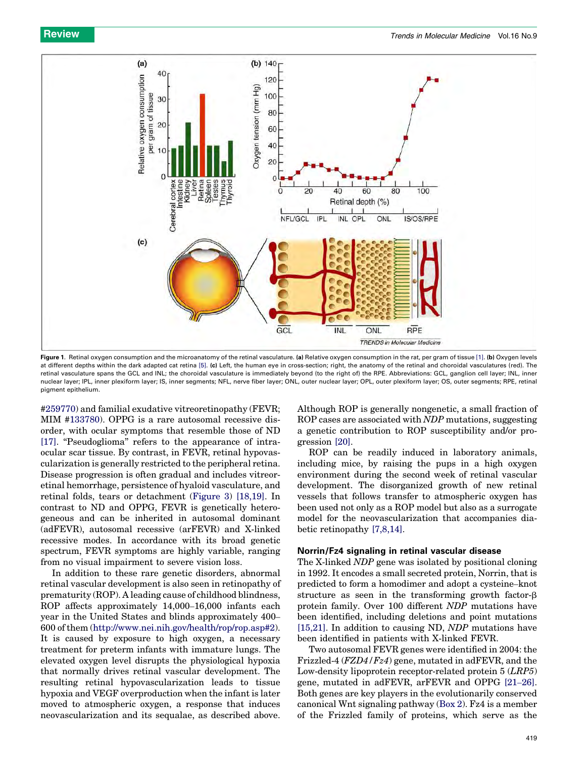<span id="page-2-0"></span>

Figure 1. Retinal oxygen consumption and the microanatomy of the retinal vasculature. (a) Relative oxygen consumption in the rat, per gram of tissue [\[1\]](#page-7-0). (b) Oxygen levels at different depths within the dark adapted cat retina [\[5\].](#page-7-0) (c) Left, the human eye in cross-section; right, the anatomy of the retinal and choroidal vasculatures (red). The retinal vasculature spans the GCL and INL; the choroidal vasculature is immediately beyond (to the right of) the RPE. Abbreviations: GCL, ganglion cell layer; INL, inner nuclear layer; IPL, inner plexiform layer; IS, inner segments; NFL, nerve fiber layer; ONL, outer nuclear layer; OPL, outer plexiform layer; OS, outer segments; RPE, retinal pigment epithelium.

#[259770](omim:259770)) and familial exudative vitreoretinopathy (FEVR; MIM [#133780](omim:133780)). OPPG is a rare autosomal recessive disorder, with ocular symptoms that resemble those of ND [\[17\]](#page-7-0). "Pseudoglioma" refers to the appearance of intraocular scar tissue. By contrast, in FEVR, retinal hypovascularization is generally restricted to the peripheral retina. Disease progression is often gradual and includes vitreoretinal hemorrhage, persistence of hyaloid vasculature, and retinal folds, tears or detachment ([Figure 3](#page-4-0)) [\[18,19\]](#page-7-0). In contrast to ND and OPPG, FEVR is genetically heterogeneous and can be inherited in autosomal dominant (adFEVR), autosomal recessive (arFEVR) and X-linked recessive modes. In accordance with its broad genetic spectrum, FEVR symptoms are highly variable, ranging from no visual impairment to severe vision loss.

In addition to these rare genetic disorders, abnormal retinal vascular development is also seen in retinopathy of prematurity (ROP). A leading cause of childhood blindness, ROP affects approximately 14,000–16,000 infants each year in the United States and blinds approximately 400– 600 of them ([http://www.nei.nih.gov/health/rop/rop.asp#2\)](http://www.nei.nih.gov/health/rop/rop.asp). It is caused by exposure to high oxygen, a necessary treatment for preterm infants with immature lungs. The elevated oxygen level disrupts the physiological hypoxia that normally drives retinal vascular development. The resulting retinal hypovascularization leads to tissue hypoxia and VEGF overproduction when the infant is later moved to atmospheric oxygen, a response that induces neovascularization and its sequalae, as described above. Although ROP is generally nongenetic, a small fraction of ROP cases are associated with NDP mutations, suggesting a genetic contribution to ROP susceptibility and/or progression [\[20\]](#page-7-0).

ROP can be readily induced in laboratory animals, including mice, by raising the pups in a high oxygen environment during the second week of retinal vascular development. The disorganized growth of new retinal vessels that follows transfer to atmospheric oxygen has been used not only as a ROP model but also as a surrogate model for the neovascularization that accompanies diabetic retinopathy [\[7,8,14\].](#page-7-0)

#### Norrin/Fz4 signaling in retinal vascular disease

The X-linked NDP gene was isolated by positional cloning in 1992. It encodes a small secreted protein, Norrin, that is predicted to form a homodimer and adopt a cysteine–knot structure as seen in the transforming growth factor- $\beta$ protein family. Over 100 different NDP mutations have been identified, including deletions and point mutations [\[15,21\]](#page-7-0). In addition to causing ND, NDP mutations have been identified in patients with X-linked FEVR.

Two autosomal FEVR genes were identified in 2004: the Frizzled-4 (FZD4/Fz4) gene, mutated in adFEVR, and the Low-density lipoprotein receptor-related protein 5 (LRP5) gene, mutated in adFEVR, arFEVR and OPPG [21–[26\].](#page-7-0) Both genes are key players in the evolutionarily conserved canonical Wnt signaling pathway [\(Box 2](#page-4-0)). Fz4 is a member of the Frizzled family of proteins, which serve as the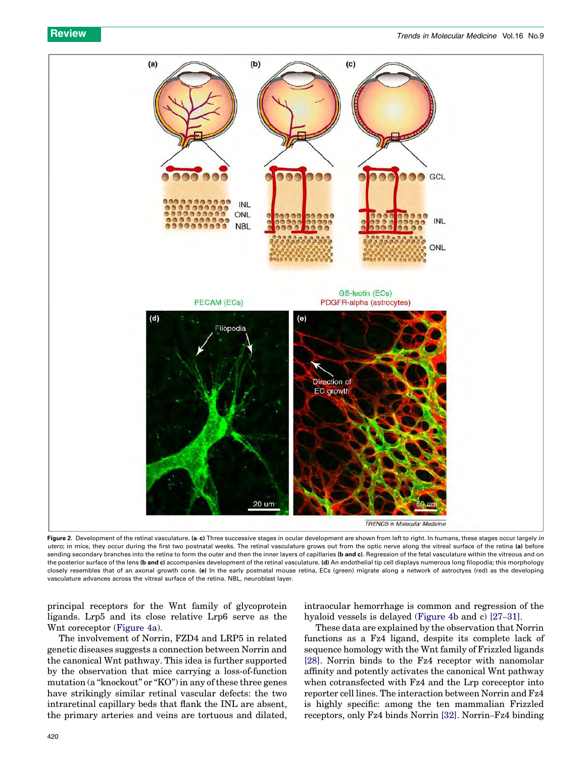<span id="page-3-0"></span>

Figure 2. Development of the retinal vasculature. (a-c) Three successive stages in ocular development are shown from left to right. In humans, these stages occur largely in utero; in mice, they occur during the first two postnatal weeks. The retinal vasculature grows out from the optic nerve along the vitreal surface of the retina (a) before sending secondary branches into the retina to form the outer and then the inner layers of capillaries (b and c). Regression of the fetal vasculature within the vitreous and on the posterior surface of the lens (b and c) accompanies development of the retinal vasculature. (d) An endothelial tip cell displays numerous long filopodia; this morphology closely resembles that of an axonal growth cone. (e) In the early postnatal mouse retina, ECs (green) migrate along a network of astroctyes (red) as the developing vasculature advances across the vitreal surface of the retina. NBL, neuroblast layer.

principal receptors for the Wnt family of glycoprotein ligands. Lrp5 and its close relative Lrp6 serve as the Wnt coreceptor [\(Figure 4](#page-5-0)a).

The involvement of Norrin, FZD4 and LRP5 in related genetic diseases suggests a connection between Norrin and the canonical Wnt pathway. This idea is further supported by the observation that mice carrying a loss-of-function mutation (a "knockout" or "KO") in any of these three genes have strikingly similar retinal vascular defects: the two intraretinal capillary beds that flank the INL are absent, the primary arteries and veins are tortuous and dilated, intraocular hemorrhage is common and regression of the hyaloid vessels is delayed ([Figure 4b](#page-5-0) and c) [27–[31\].](#page-7-0)

These data are explained by the observation that Norrin functions as a Fz4 ligand, despite its complete lack of sequence homology with the Wnt family of Frizzled ligands [\[28\]](#page-7-0). Norrin binds to the Fz4 receptor with nanomolar affinity and potently activates the canonical Wnt pathway when cotransfected with Fz4 and the Lrp coreceptor into reporter cell lines. The interaction between Norrin and Fz4 is highly specific: among the ten mammalian Frizzled receptors, only Fz4 binds Norrin [\[32\].](#page-7-0) Norrin–Fz4 binding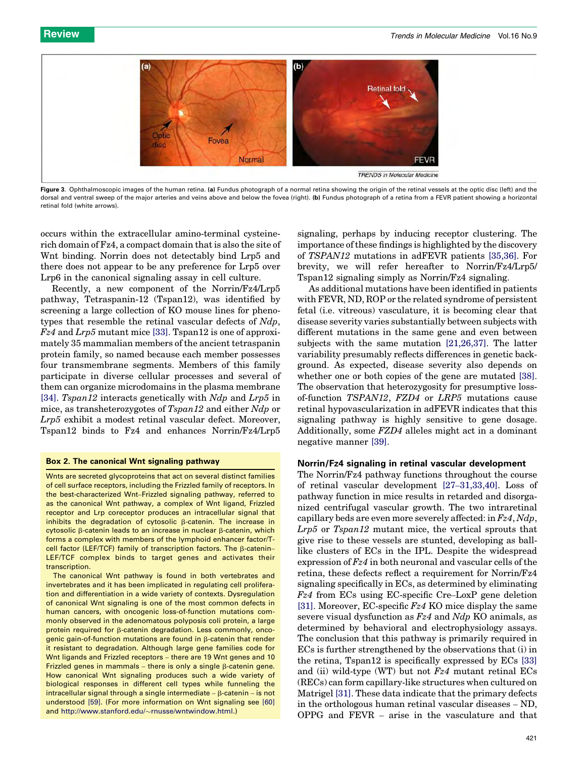<span id="page-4-0"></span>

Figure 3. Ophthalmoscopic images of the human retina. (a) Fundus photograph of a normal retina showing the origin of the retinal vessels at the optic disc (left) and the dorsal and ventral sweep of the major arteries and veins above and below the fovea (right). (b) Fundus photograph of a retina from a FEVR patient showing a horizontal retinal fold (white arrows).

occurs within the extracellular amino-terminal cysteinerich domain of Fz4, a compact domain that is also the site of Wnt binding. Norrin does not detectably bind Lrp5 and there does not appear to be any preference for Lrp5 over Lrp6 in the canonical signaling assay in cell culture.

Recently, a new component of the Norrin/Fz4/Lrp5 pathway, Tetraspanin-12 (Tspan12), was identified by screening a large collection of KO mouse lines for phenotypes that resemble the retinal vascular defects of Ndp, Fz4 and Lrp5 mutant mice [\[33\]](#page-7-0). Tspan12 is one of approximately 35 mammalian members of the ancient tetraspanin protein family, so named because each member possesses four transmembrane segments. Members of this family participate in diverse cellular processes and several of them can organize microdomains in the plasma membrane [\[34\]](#page-7-0). Tspan12 interacts genetically with Ndp and Lrp5 in mice, as transheterozygotes of Tspan12 and either Ndp or Lrp5 exhibit a modest retinal vascular defect. Moreover, Tspan12 binds to Fz4 and enhances Norrin/Fz4/Lrp5

#### Box 2. The canonical Wnt signaling pathway

Wnts are secreted glycoproteins that act on several distinct families of cell surface receptors, including the Frizzled family of receptors. In the best-characterized Wnt–Frizzled signaling pathway, referred to as the canonical Wnt pathway, a complex of Wnt ligand, Frizzled receptor and Lrp coreceptor produces an intracellular signal that inhibits the degradation of cytosolic  $\beta$ -catenin. The increase in cytosolic  $\beta$ -catenin leads to an increase in nuclear  $\beta$ -catenin, which forms a complex with members of the lymphoid enhancer factor/Tcell factor (LEF/TCF) family of transcription factors. The  $\beta$ -catenin-LEF/TCF complex binds to target genes and activates their transcription.

The canonical Wnt pathway is found in both vertebrates and invertebrates and it has been implicated in regulating cell proliferation and differentiation in a wide variety of contexts. Dysregulation of canonical Wnt signaling is one of the most common defects in human cancers, with oncogenic loss-of-function mutations commonly observed in the adenomatous polyposis coli protein, a large protein required for  $\beta$ -catenin degradation. Less commonly, oncogenic gain-of-function mutations are found in  $\beta$ -catenin that render it resistant to degradation. Although large gene families code for Wnt ligands and Frizzled receptors – there are 19 Wnt genes and 10 Frizzled genes in mammals – there is only a single  $\beta$ -catenin gene. How canonical Wnt signaling produces such a wide variety of biological responses in different cell types while funneling the intracellular signal through a single intermediate  $-\beta$ -catenin  $-$  is not understood [\[59\]](#page-8-0). (For more information on Wnt signaling see [\[60\]](#page-8-0) and [http://www.stanford.edu/](http://www.stanford.edu/~rnusse/wntwindow.html)~[rnusse/wntwindow.html.](http://www.stanford.edu/~rnusse/wntwindow.html))

signaling, perhaps by inducing receptor clustering. The importance of these findings is highlighted by the discovery of TSPAN12 mutations in adFEVR patients [\[35,36\]](#page-7-0). For brevity, we will refer hereafter to Norrin/Fz4/Lrp5/ Tspan12 signaling simply as Norrin/Fz4 signaling.

As additional mutations have been identified in patients with FEVR, ND, ROP or the related syndrome of persistent fetal (i.e. vitreous) vasculature, it is becoming clear that disease severity varies substantially between subjects with different mutations in the same gene and even between subjects with the same mutation [\[21,26,37\]](#page-7-0). The latter variability presumably reflects differences in genetic background. As expected, disease severity also depends on whether one or both copies of the gene are mutated [\[38\]](#page-7-0). The observation that heterozygosity for presumptive lossof-function TSPAN12, FZD4 or LRP5 mutations cause retinal hypovascularization in adFEVR indicates that this signaling pathway is highly sensitive to gene dosage. Additionally, some FZD4 alleles might act in a dominant negative manner [\[39\]](#page-7-0).

#### Norrin/Fz4 signaling in retinal vascular development

The Norrin/Fz4 pathway functions throughout the course of retinal vascular development [27–[31,33,40\]](#page-7-0). Loss of pathway function in mice results in retarded and disorganized centrifugal vascular growth. The two intraretinal capillary beds are even more severely affected: in  $Fz4, Ndp$ , Lrp5 or Tspan12 mutant mice, the vertical sprouts that give rise to these vessels are stunted, developing as balllike clusters of ECs in the IPL. Despite the widespread expression of  $Fz4$  in both neuronal and vascular cells of the retina, these defects reflect a requirement for Norrin/Fz4 signaling specifically in ECs, as determined by eliminating Fz4 from ECs using EC-specific Cre–LoxP gene deletion [\[31\]](#page-7-0). Moreover, EC-specific  $Fz4$  KO mice display the same severe visual dysfunction as  $Fz4$  and  $Ndp$  KO animals, as determined by behavioral and electrophysiology assays. The conclusion that this pathway is primarily required in ECs is further strengthened by the observations that (i) in the retina, Tspan12 is specifically expressed by ECs [\[33\]](#page-7-0) and (ii) wild-type (WT) but not  $Fz4$  mutant retinal ECs (RECs) can form capillary-like structures when cultured on Matrigel [\[31\].](#page-7-0) These data indicate that the primary defects in the orthologous human retinal vascular diseases – ND, OPPG and FEVR – arise in the vasculature and that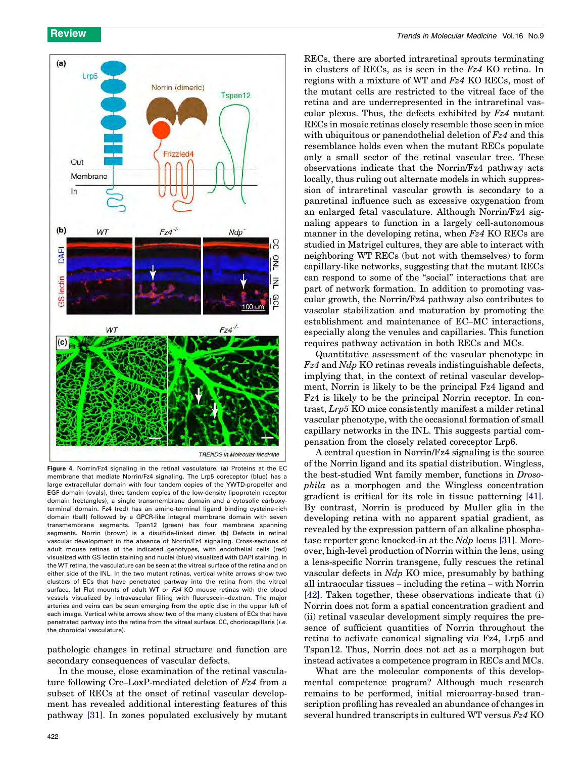<span id="page-5-0"></span>

Figure 4. Norrin/Fz4 signaling in the retinal vasculature. (a) Proteins at the EC membrane that mediate Norrin/Fz4 signaling. The Lrp5 coreceptor (blue) has a large extracellular domain with four tandem copies of the YWTD-propeller and EGF domain (ovals), three tandem copies of the low-density lipoprotein receptor domain (rectangles), a single transmembrane domain and a cytosolic carboxyterminal domain. Fz4 (red) has an amino-terminal ligand binding cysteine-rich domain (ball) followed by a GPCR-like integral membrane domain with seven transmembrane segments. Tpan12 (green) has four membrane spanning segments. Norrin (brown) is a disulfide-linked dimer. (b) Defects in retinal vascular development in the absence of Norrin/Fz4 signaling. Cross-sections of adult mouse retinas of the indicated genotypes, with endothelial cells (red) visualized with GS lectin staining and nuclei (blue) visualized with DAPI staining. In the WT retina, the vasculature can be seen at the vitreal surface of the retina and on either side of the INL. In the two mutant retinas, vertical white arrows show two clusters of ECs that have penetrated partway into the retina from the vitreal surface. (c) Flat mounts of adult WT or Fz4 KO mouse retinas with the blood vessels visualized by intravascular filling with fluorescein–dextran. The major arteries and veins can be seen emerging from the optic disc in the upper left of each image. Vertical white arrows show two of the many clusters of ECs that have penetrated partway into the retina from the vitreal surface. CC, choriocapillaris (i.e. the choroidal vasculature).

pathologic changes in retinal structure and function are secondary consequences of vascular defects.

In the mouse, close examination of the retinal vasculature following Cre–LoxP-mediated deletion of  $Fz4$  from a subset of RECs at the onset of retinal vascular development has revealed additional interesting features of this pathway [\[31\].](#page-7-0) In zones populated exclusively by mutant RECs, there are aborted intraretinal sprouts terminating in clusters of RECs, as is seen in the Fz4 KO retina. In regions with a mixture of WT and Fz4 KO RECs, most of the mutant cells are restricted to the vitreal face of the retina and are underrepresented in the intraretinal vascular plexus. Thus, the defects exhibited by  $Fz4$  mutant RECs in mosaic retinas closely resemble those seen in mice with ubiquitous or panendothelial deletion of  $Fz4$  and this resemblance holds even when the mutant RECs populate only a small sector of the retinal vascular tree. These observations indicate that the Norrin/Fz4 pathway acts locally, thus ruling out alternate models in which suppression of intraretinal vascular growth is secondary to a panretinal influence such as excessive oxygenation from an enlarged fetal vasculature. Although Norrin/Fz4 signaling appears to function in a largely cell-autonomous manner in the developing retina, when  $Fz4$  KO RECs are studied in Matrigel cultures, they are able to interact with neighboring WT RECs (but not with themselves) to form capillary-like networks, suggesting that the mutant RECs can respond to some of the ''social'' interactions that are part of network formation. In addition to promoting vascular growth, the Norrin/Fz4 pathway also contributes to vascular stabilization and maturation by promoting the establishment and maintenance of EC–MC interactions, especially along the venules and capillaries. This function requires pathway activation in both RECs and MCs.

Quantitative assessment of the vascular phenotype in Fz4 and Ndp KO retinas reveals indistinguishable defects, implying that, in the context of retinal vascular development, Norrin is likely to be the principal Fz4 ligand and Fz4 is likely to be the principal Norrin receptor. In contrast, Lrp5 KO mice consistently manifest a milder retinal vascular phenotype, with the occasional formation of small capillary networks in the INL. This suggests partial compensation from the closely related coreceptor Lrp6.

A central question in Norrin/Fz4 signaling is the source of the Norrin ligand and its spatial distribution. Wingless, the best-studied Wnt family member, functions in Drosophila as a morphogen and the Wingless concentration gradient is critical for its role in tissue patterning [\[41\]](#page-7-0). By contrast, Norrin is produced by Muller glia in the developing retina with no apparent spatial gradient, as revealed by the expression pattern of an alkaline phosphatase reporter gene knocked-in at the Ndp locus [\[31\]](#page-7-0). Moreover, high-level production of Norrin within the lens, using a lens-specific Norrin transgene, fully rescues the retinal vascular defects in Ndp KO mice, presumably by bathing all intraocular tissues – including the retina – with Norrin [\[42\]](#page-7-0). Taken together, these observations indicate that (i) Norrin does not form a spatial concentration gradient and (ii) retinal vascular development simply requires the presence of sufficient quantities of Norrin throughout the retina to activate canonical signaling via Fz4, Lrp5 and Tspan12. Thus, Norrin does not act as a morphogen but instead activates a competence program in RECs and MCs.

What are the molecular components of this developmental competence program? Although much research remains to be performed, initial microarray-based transcription profiling has revealed an abundance of changes in several hundred transcripts in cultured WT versus Fz4 KO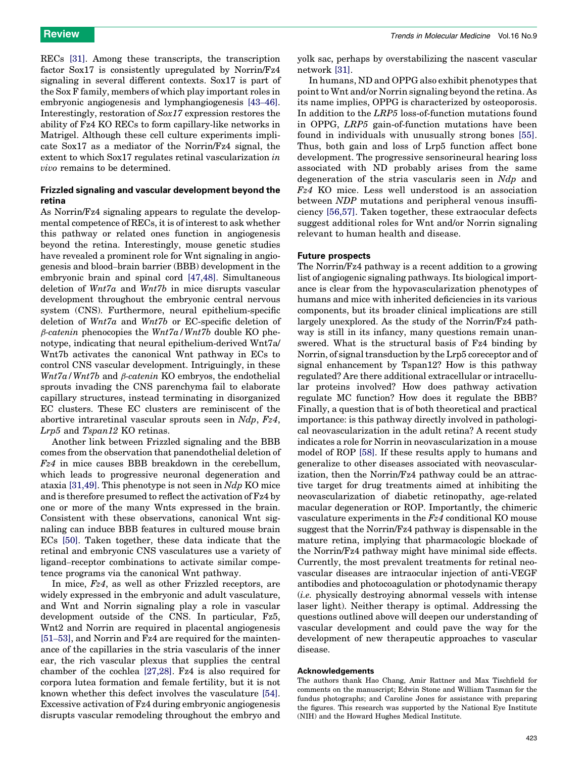RECs [\[31\]](#page-7-0). Among these transcripts, the transcription factor Sox17 is consistently upregulated by Norrin/Fz4 signaling in several different contexts. Sox17 is part of the Sox F family, members of which play important roles in embryonic angiogenesis and lymphangiogenesis [\[43](#page-7-0)–46]. Interestingly, restoration of Sox17 expression restores the ability of Fz4 KO RECs to form capillary-like networks in Matrigel. Although these cell culture experiments implicate Sox17 as a mediator of the Norrin/Fz4 signal, the extent to which Sox17 regulates retinal vascularization in vivo remains to be determined.

#### Frizzled signaling and vascular development beyond the retina

As Norrin/Fz4 signaling appears to regulate the developmental competence of RECs, it is of interest to ask whether this pathway or related ones function in angiogenesis beyond the retina. Interestingly, mouse genetic studies have revealed a prominent role for Wnt signaling in angiogenesis and blood–brain barrier (BBB) development in the embryonic brain and spinal cord [\[47,48\]](#page-7-0). Simultaneous deletion of  $Wnt7a$  and  $Wnt7b$  in mice disrupts vascular development throughout the embryonic central nervous system (CNS). Furthermore, neural epithelium-specific deletion of Wnt7a and Wnt7b or EC-specific deletion of  $\beta$ -catenin phenocopies the Wnt7a/Wnt7b double KO phenotype, indicating that neural epithelium-derived Wnt7a/ Wnt7b activates the canonical Wnt pathway in ECs to control CNS vascular development. Intriguingly, in these  $Wnt7a/Wnt7b$  and  $\beta$ -catenin KO embryos, the endothelial sprouts invading the CNS parenchyma fail to elaborate capillary structures, instead terminating in disorganized EC clusters. These EC clusters are reminiscent of the abortive intraretinal vascular sprouts seen in Ndp, Fz4, Lrp5 and Tspan12 KO retinas.

Another link between Frizzled signaling and the BBB comes from the observation that panendothelial deletion of Fz4 in mice causes BBB breakdown in the cerebellum, which leads to progressive neuronal degeneration and ataxia [\[31,49\].](#page-7-0) This phenotype is not seen in Ndp KO mice and is therefore presumed to reflect the activation of Fz4 by one or more of the many Wnts expressed in the brain. Consistent with these observations, canonical Wnt signaling can induce BBB features in cultured mouse brain ECs [\[50\].](#page-7-0) Taken together, these data indicate that the retinal and embryonic CNS vasculatures use a variety of ligand–receptor combinations to activate similar competence programs via the canonical Wnt pathway.

In mice, Fz4, as well as other Frizzled receptors, are widely expressed in the embryonic and adult vasculature, and Wnt and Norrin signaling play a role in vascular development outside of the CNS. In particular, Fz5, Wnt2 and Norrin are required in placental angiogenesis [51–[53\]](#page-7-0), and Norrin and Fz4 are required for the maintenance of the capillaries in the stria vascularis of the inner ear, the rich vascular plexus that supplies the central chamber of the cochlea [\[27,28\]](#page-7-0). Fz4 is also required for corpora lutea formation and female fertility, but it is not known whether this defect involves the vasculature [\[54\]](#page-7-0). Excessive activation of Fz4 during embryonic angiogenesis disrupts vascular remodeling throughout the embryo and yolk sac, perhaps by overstabilizing the nascent vascular network [\[31\].](#page-7-0)

In humans, ND and OPPG also exhibit phenotypes that point to Wnt and/or Norrin signaling beyond the retina. As its name implies, OPPG is characterized by osteoporosis. In addition to the LRP5 loss-of-function mutations found in OPPG, LRP5 gain-of-function mutations have been found in individuals with unusually strong bones [\[55\]](#page-7-0). Thus, both gain and loss of Lrp5 function affect bone development. The progressive sensorineural hearing loss associated with ND probably arises from the same degeneration of the stria vascularis seen in Ndp and Fz4 KO mice. Less well understood is an association between NDP mutations and peripheral venous insufficiency [\[56,57\]](#page-7-0). Taken together, these extraocular defects suggest additional roles for Wnt and/or Norrin signaling relevant to human health and disease.

#### Future prospects

The Norrin/Fz4 pathway is a recent addition to a growing list of angiogenic signaling pathways. Its biological importance is clear from the hypovascularization phenotypes of humans and mice with inherited deficiencies in its various components, but its broader clinical implications are still largely unexplored. As the study of the Norrin/Fz4 pathway is still in its infancy, many questions remain unanswered. What is the structural basis of Fz4 binding by Norrin, of signal transduction by the Lrp5 coreceptor and of signal enhancement by Tspan12? How is this pathway regulated? Are there additional extracellular or intracellular proteins involved? How does pathway activation regulate MC function? How does it regulate the BBB? Finally, a question that is of both theoretical and practical importance: is this pathway directly involved in pathological neovascularization in the adult retina? A recent study indicates a role for Norrin in neovascularization in a mouse model of ROP [\[58\].](#page-8-0) If these results apply to humans and generalize to other diseases associated with neovascularization, then the Norrin/Fz4 pathway could be an attractive target for drug treatments aimed at inhibiting the neovascularization of diabetic retinopathy, age-related macular degeneration or ROP. Importantly, the chimeric vasculature experiments in the  $Fz4$  conditional KO mouse suggest that the Norrin/Fz4 pathway is dispensable in the mature retina, implying that pharmacologic blockade of the Norrin/Fz4 pathway might have minimal side effects. Currently, the most prevalent treatments for retinal neovascular diseases are intraocular injection of anti-VEGF antibodies and photocoagulation or photodynamic therapy (i.e. physically destroying abnormal vessels with intense laser light). Neither therapy is optimal. Addressing the questions outlined above will deepen our understanding of vascular development and could pave the way for the development of new therapeutic approaches to vascular disease.

#### Acknowledgements

The authors thank Hao Chang, Amir Rattner and Max Tischfield for comments on the manuscript; Edwin Stone and William Tasman for the fundus photographs; and Caroline Jones for assistance with preparing the figures. This research was supported by the National Eye Institute (NIH) and the Howard Hughes Medical Institute.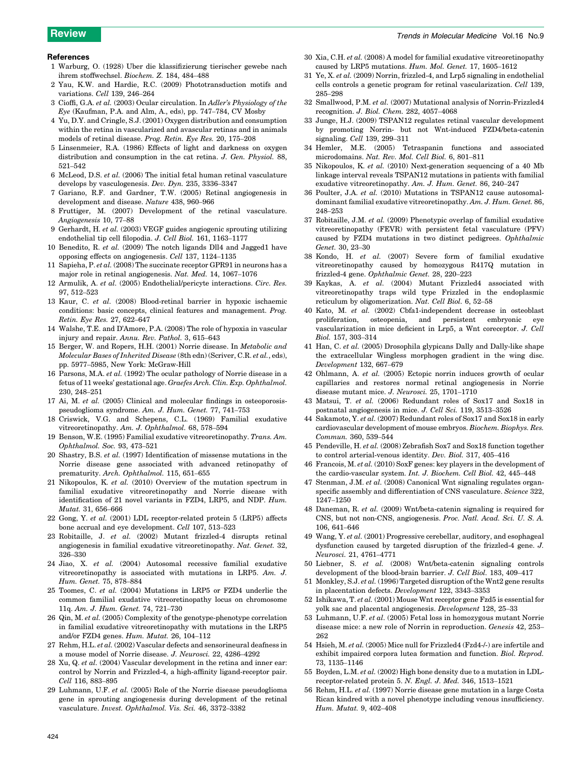### <span id="page-7-0"></span>**References**

- 1 Warburg, O. (1928) Uber die klassifizierung tierischer gewebe nach ihrem stoffwechsel. Biochem. Z. 184, 484–488
- 2 Yau, K.W. and Hardie, R.C. (2009) Phototransduction motifs and variations. Cell 139, 246–264
- 3 Cioffi, G.A. et al. (2003) Ocular circulation. In Adler's Physiology of the Eye (Kaufman, P.A. and Alm, A., eds), pp. 747–784, CV Mosby
- 4 Yu, D.Y. and Cringle, S.J. (2001) Oxygen distribution and consumption within the retina in vascularized and avascular retinas and in animals models of retinal disease. Prog. Retin. Eye Res. 20, 175–208
- 5 Linsenmeier, R.A. (1986) Effects of light and darkness on oxygen distribution and consumption in the cat retina. J. Gen. Physiol. 88, 521–542
- 6 McLeod, D.S. et al. (2006) The initial fetal human retinal vasculature develops by vasculogenesis. Dev. Dyn. 235, 3336–3347
- 7 Gariano, R.F. and Gardner, T.W. (2005) Retinal angiogenesis in development and disease. Nature 438, 960–966
- 8 Fruttiger, M. (2007) Development of the retinal vasculature. Angiogenesis 10, 77–88
- 9 Gerhardt, H. et al. (2003) VEGF guides angiogenic sprouting utilizing endothelial tip cell filopodia. J. Cell Biol. 161, 1163–1177
- 10 Benedito, R. et al. (2009) The notch ligands Dll4 and Jagged1 have opposing effects on angiogenesis. Cell 137, 1124–1135
- 11 Sapieha, P. et al. (2008) The succinate receptor GPR91 in neurons has a major role in retinal angiogenesis. Nat. Med. 14, 1067–1076
- 12 Armulik, A. et al. (2005) Endothelial/pericyte interactions. Circ. Res. 97, 512–523
- 13 Kaur, C. et al. (2008) Blood-retinal barrier in hypoxic ischaemic conditions: basic concepts, clinical features and management. Prog. Retin. Eye Res. 27, 622–647
- 14 Walshe, T.E. and D'Amore, P.A. (2008) The role of hypoxia in vascular injury and repair. Annu. Rev. Pathol. 3, 615–643
- 15 Berger, W. and Ropers, H.H. (2001) Norrie disease. In Metabolic and Molecular Bases of Inherited Disease (8th edn) (Scriver, C.R. et al., eds), pp. 5977–5985, New York: McGraw-Hill
- 16 Parsons, M.A. et al. (1992) The ocular pathology of Norrie disease in a fetus of 11 weeks' gestational age. Graefes Arch. Clin. Exp. Ophthalmol. 230, 248–251
- 17 Ai, M. et al. (2005) Clinical and molecular findings in osteoporosispseudoglioma syndrome. Am. J. Hum. Genet. 77, 741–753
- 18 Criswick, V.G. and Schepens, C.L. (1969) Familial exudative vitreoretinopathy. Am. J. Ophthalmol. 68, 578–594
- 19 Benson, W.E. (1995) Familial exudative vitreoretinopathy. Trans. Am. Ophthalmol. Soc. 93, 473–521
- 20 Shastry, B.S. et al. (1997) Identification of missense mutations in the Norrie disease gene associated with advanced retinopathy of prematurity. Arch. Ophthalmol. 115, 651–655
- 21 Nikopoulos, K. et al. (2010) Overview of the mutation spectrum in familial exudative vitreoretinopathy and Norrie disease with identification of 21 novel variants in FZD4, LRP5, and NDP. Hum. Mutat. 31, 656–666
- 22 Gong, Y. et al. (2001) LDL receptor-related protein 5 (LRP5) affects bone accrual and eye development. Cell 107, 513–523
- 23 Robitaille, J. et al. (2002) Mutant frizzled-4 disrupts retinal angiogenesis in familial exudative vitreoretinopathy. Nat. Genet. 32, 326–330
- 24 Jiao, X. et al. (2004) Autosomal recessive familial exudative vitreoretinopathy is associated with mutations in LRP5. Am. J. Hum. Genet. 75, 878–884
- 25 Toomes, C. et al. (2004) Mutations in LRP5 or FZD4 underlie the common familial exudative vitreoretinopathy locus on chromosome 11q. Am. J. Hum. Genet. 74, 721–730
- 26 Qin, M. et al. (2005) Complexity of the genotype-phenotype correlation in familial exudative vitreoretinopathy with mutations in the LRP5 and/or FZD4 genes. Hum. Mutat. 26, 104–112
- 27 Rehm, H.L. et al. (2002) Vascular defects and sensorineural deafness in a mouse model of Norrie disease. J. Neurosci. 22, 4286–4292
- 28 Xu, Q. et al. (2004) Vascular development in the retina and inner ear: control by Norrin and Frizzled-4, a high-affinity ligand-receptor pair. Cell 116, 883–895
- 29 Luhmann, U.F. et al. (2005) Role of the Norrie disease pseudoglioma gene in sprouting angiogenesis during development of the retinal vasculature. Invest. Ophthalmol. Vis. Sci. 46, 3372–3382
- 30 Xia, C.H. et al. (2008) A model for familial exudative vitreoretinopathy caused by LRP5 mutations. Hum. Mol. Genet. 17, 1605–1612
- 31 Ye, X. et al. (2009) Norrin, frizzled-4, and Lrp5 signaling in endothelial cells controls a genetic program for retinal vascularization. Cell 139, 285–298
- 32 Smallwood, P.M. et al. (2007) Mutational analysis of Norrin-Frizzled4 recognition. J. Biol. Chem. 282, 4057–4068
- 33 Junge, H.J. (2009) TSPAN12 regulates retinal vascular development by promoting Norrin- but not Wnt-induced FZD4/beta-catenin signaling. Cell 139, 299–311
- 34 Hemler, M.E. (2005) Tetraspanin functions and associated microdomains. Nat. Rev. Mol. Cell Biol. 6, 801–811
- 35 Nikopoulos, K. et al. (2010) Next-generation sequencing of a 40 Mb linkage interval reveals TSPAN12 mutations in patients with familial exudative vitreoretinopathy. Am. J. Hum. Genet. 86, 240–247
- 36 Poulter, J.A. et al. (2010) Mutations in TSPAN12 cause autosomaldominant familial exudative vitreoretinopathy. Am. J. Hum. Genet. 86, 248–253
- 37 Robitaille, J.M. et al. (2009) Phenotypic overlap of familial exudative vitreoretinopathy (FEVR) with persistent fetal vasculature (PFV) caused by FZD4 mutations in two distinct pedigrees. Ophthalmic Genet. 30, 23–30
- 38 Kondo, H. et al. (2007) Severe form of familial exudative vitreoretinopathy caused by homozygous R417Q mutation in frizzled-4 gene. Ophthalmic Genet. 28, 220–223
- 39 Kaykas, A. et al. (2004) Mutant Frizzled4 associated with vitreoretinopathy traps wild type Frizzled in the endoplasmic reticulum by oligomerization. Nat. Cell Biol. 6, 52–58
- 40 Kato, M. et al. (2002) Cbfa1-independent decrease in osteoblast proliferation, osteopenia, and persistent embryonic eye vascularization in mice deficient in Lrp5, a Wnt coreceptor. J. Cell Biol. 157, 303–314
- 41 Han, C. et al. (2005) Drosophila glypicans Dally and Dally-like shape the extracellular Wingless morphogen gradient in the wing disc. Development 132, 667–679
- 42 Ohlmann, A. et al. (2005) Ectopic norrin induces growth of ocular capillaries and restores normal retinal angiogenesis in Norrie disease mutant mice. J. Neurosci. 25, 1701–1710
- 43 Matsui, T. et al. (2006) Redundant roles of Sox17 and Sox18 in postnatal angiogenesis in mice. J. Cell Sci. 119, 3513–3526
- 44 Sakamoto, Y. et al. (2007) Redundant roles of Sox17 and Sox18 in early cardiovascular development of mouse embryos. Biochem. Biophys. Res. Commun. 360, 539–544
- 45 Pendeville, H. et al. (2008) Zebrafish Sox7 and Sox18 function together to control arterial-venous identity. Dev. Biol. 317, 405–416
- 46 Francois, M. et al. (2010) SoxF genes: key players in the development of the cardio-vascular system. Int. J. Biochem. Cell Biol. 42, 445–448
- 47 Stenman, J.M. et al. (2008) Canonical Wnt signaling regulates organspecific assembly and differentiation of CNS vasculature. Science 322, 1247–1250
- 48 Daneman, R. et al. (2009) Wnt/beta-catenin signaling is required for CNS, but not non-CNS, angiogenesis. Proc. Natl. Acad. Sci. U. S. A. 106, 641–646
- 49 Wang, Y. et al. (2001) Progressive cerebellar, auditory, and esophageal dysfunction caused by targeted disruption of the frizzled-4 gene. J. Neurosci. 21, 4761–4771
- 50 Liebner, S. et al. (2008) Wnt/beta-catenin signaling controls development of the blood-brain barrier. J. Cell Biol. 183, 409–417
- 51 Monkley, S.J. et al. (1996) Targeted disruption of the Wnt2 gene results in placentation defects. Development 122, 3343–3353
- 52 Ishikawa, T. et al. (2001) Mouse Wnt receptor gene Fzd5 is essential for yolk sac and placental angiogenesis. Development 128, 25–33
- 53 Luhmann, U.F. et al. (2005) Fetal loss in homozygous mutant Norrie disease mice: a new role of Norrin in reproduction. Genesis 42, 253– 262
- 54 Hsieh, M. et al. (2005) Mice null for Frizzled4 (Fzd4-/-) are infertile and exhibit impaired corpora lutea formation and function. Biol. Reprod. 73, 1135–1146
- 55 Boyden, L.M. et al. (2002) High bone density due to a mutation in LDLreceptor-related protein 5. N. Engl. J. Med. 346, 1513–1521
- 56 Rehm, H.L. et al. (1997) Norrie disease gene mutation in a large Costa Rican kindred with a novel phenotype including venous insufficiency. Hum. Mutat. 9, 402–408